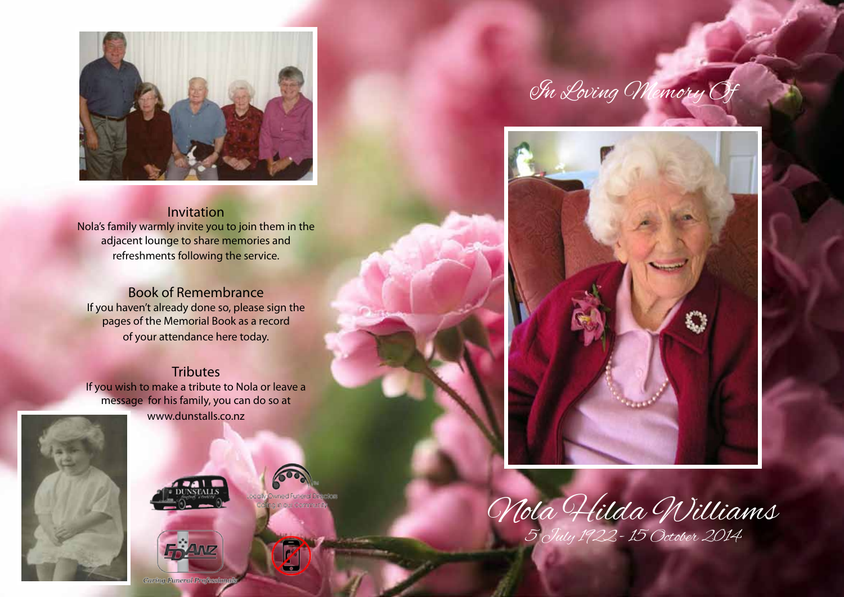

Invitation Nola's family warmly invite you to join them in the adjacent lounge to share memories and refreshments following the service.

Book of Remembrance If you haven't already done so, please sign the pages of the Memorial Book as a record of your attendance here today.

## **Tributes**

If you wish to make a tribute to Nola or leave a message for his family, you can do so at www.dunstalls.co.nz





 $\mathbf{z}$ 



In Loving Memory Of